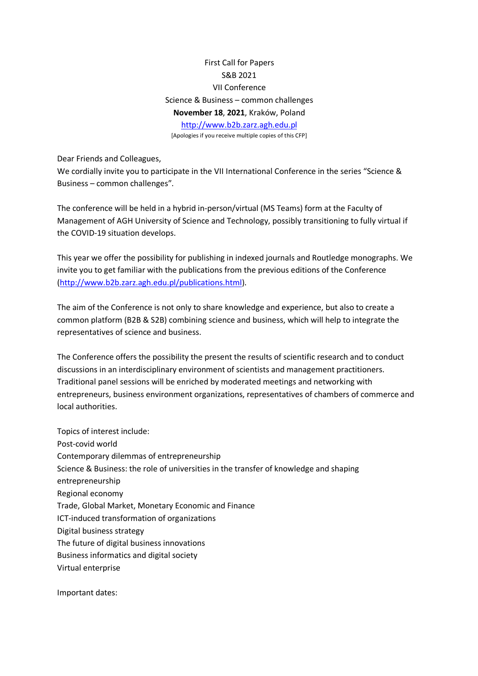First Call for Papers S&B 2021 VII Conference Science & Business – common challenges **November 18**, **2021**, Kraków, Poland http://www.b2b.zarz.agh.edu.pl [Apologies if you receive multiple copies of this CFP]

Dear Friends and Colleagues,

We cordially invite you to participate in the VII International Conference in the series "Science & Business – common challenges".

The conference will be held in a hybrid in-person/virtual (MS Teams) form at the Faculty of Management of AGH University of Science and Technology, possibly transitioning to fully virtual if the COVID-19 situation develops.

This year we offer the possibility for publishing in indexed journals and Routledge monographs. We invite you to get familiar with the publications from the previous editions of the Conference (http://www.b2b.zarz.agh.edu.pl/publications.html).

The aim of the Conference is not only to share knowledge and experience, but also to create a common platform (B2B & S2B) combining science and business, which will help to integrate the representatives of science and business.

The Conference offers the possibility the present the results of scientific research and to conduct discussions in an interdisciplinary environment of scientists and management practitioners. Traditional panel sessions will be enriched by moderated meetings and networking with entrepreneurs, business environment organizations, representatives of chambers of commerce and local authorities.

Topics of interest include: Post-covid world Contemporary dilemmas of entrepreneurship Science & Business: the role of universities in the transfer of knowledge and shaping entrepreneurship Regional economy Trade, Global Market, Monetary Economic and Finance ICT-induced transformation of organizations Digital business strategy The future of digital business innovations Business informatics and digital society Virtual enterprise

Important dates: